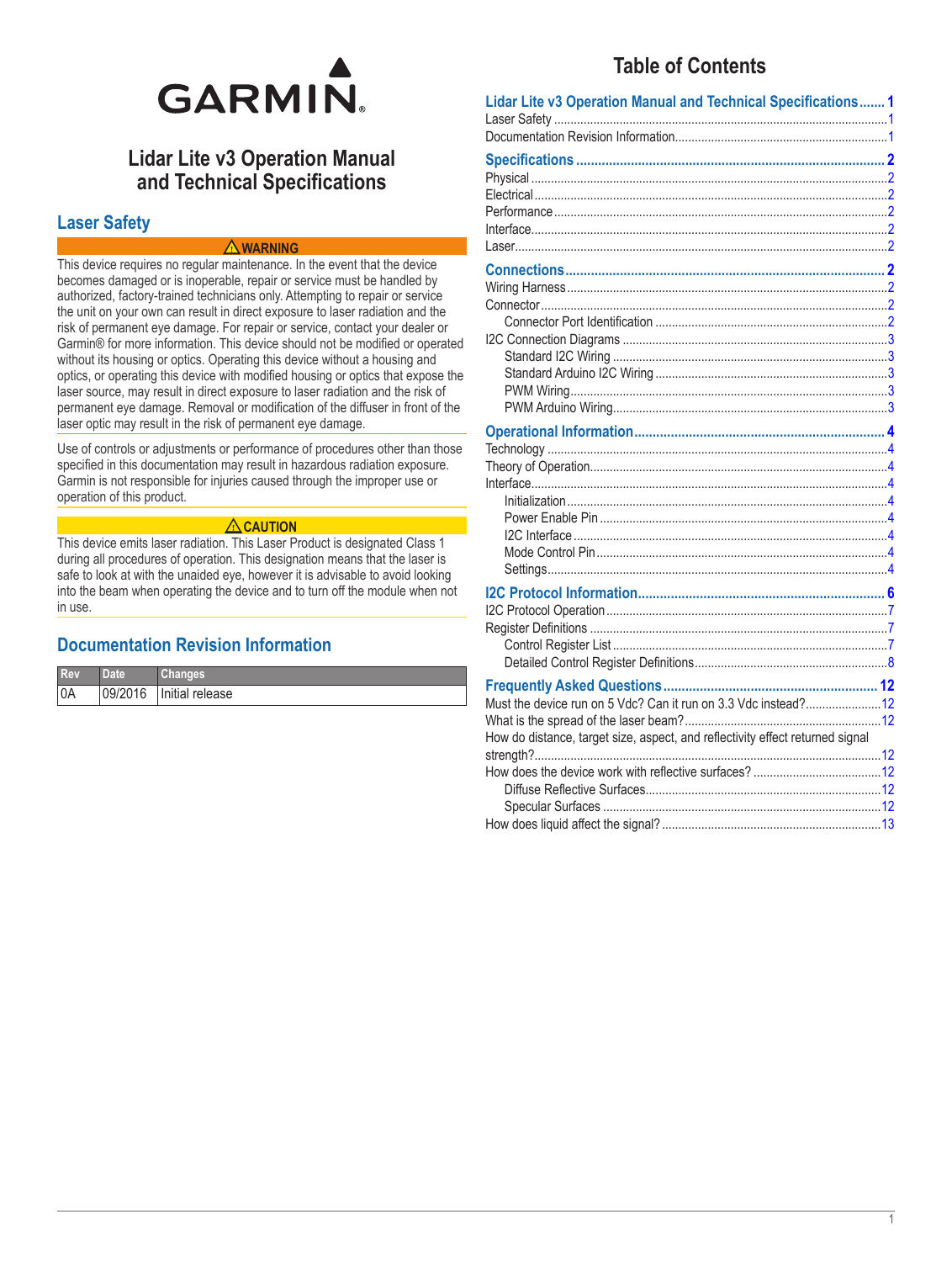

# **Lidar Lite v3 Operation Manual** and Technical Specifications

## **Laser Safety**

### $\triangle$  WARNING

This device requires no regular maintenance. In the event that the device becomes damaged or is inoperable, repair or service must be handled by authorized, factory-trained technicians only. Attempting to repair or service the unit on your own can result in direct exposure to laser radiation and the risk of permanent eye damage. For repair or service, contact your dealer or Garmin® for more information. This device should not be modified or operated without its housing or optics. Operating this device without a housing and optics, or operating this device with modified housing or optics that expose the laser source, may result in direct exposure to laser radiation and the risk of permanent eye damage. Removal or modification of the diffuser in front of the laser optic may result in the risk of permanent eye damage.

Use of controls or adjustments or performance of procedures other than those specified in this documentation may result in hazardous radiation exposure. Garmin is not responsible for injuries caused through the improper use or operation of this product.

### $\Lambda$  CAUTION

This device emits laser radiation. This Laser Product is designated Class 1 during all procedures of operation. This designation means that the laser is safe to look at with the unaided eye, however it is advisable to avoid looking into the beam when operating the device and to turn off the module when not in use.

## **Documentation Revision Information**

| Rev | <b>Date</b> | Changes         |
|-----|-------------|-----------------|
| 0A  | 09/2016     | Initial release |

# **Table of Contents**

| Lidar Lite v3 Operation Manual and Technical Specifications 1                 |  |
|-------------------------------------------------------------------------------|--|
|                                                                               |  |
|                                                                               |  |
|                                                                               |  |
|                                                                               |  |
|                                                                               |  |
|                                                                               |  |
|                                                                               |  |
|                                                                               |  |
|                                                                               |  |
|                                                                               |  |
|                                                                               |  |
|                                                                               |  |
|                                                                               |  |
|                                                                               |  |
|                                                                               |  |
|                                                                               |  |
|                                                                               |  |
|                                                                               |  |
|                                                                               |  |
|                                                                               |  |
|                                                                               |  |
|                                                                               |  |
|                                                                               |  |
|                                                                               |  |
|                                                                               |  |
|                                                                               |  |
|                                                                               |  |
|                                                                               |  |
|                                                                               |  |
|                                                                               |  |
|                                                                               |  |
| Must the device run on 5 Vdc? Can it run on 3.3 Vdc instead?12                |  |
|                                                                               |  |
| How do distance, target size, aspect, and reflectivity effect returned signal |  |
|                                                                               |  |
|                                                                               |  |
|                                                                               |  |
|                                                                               |  |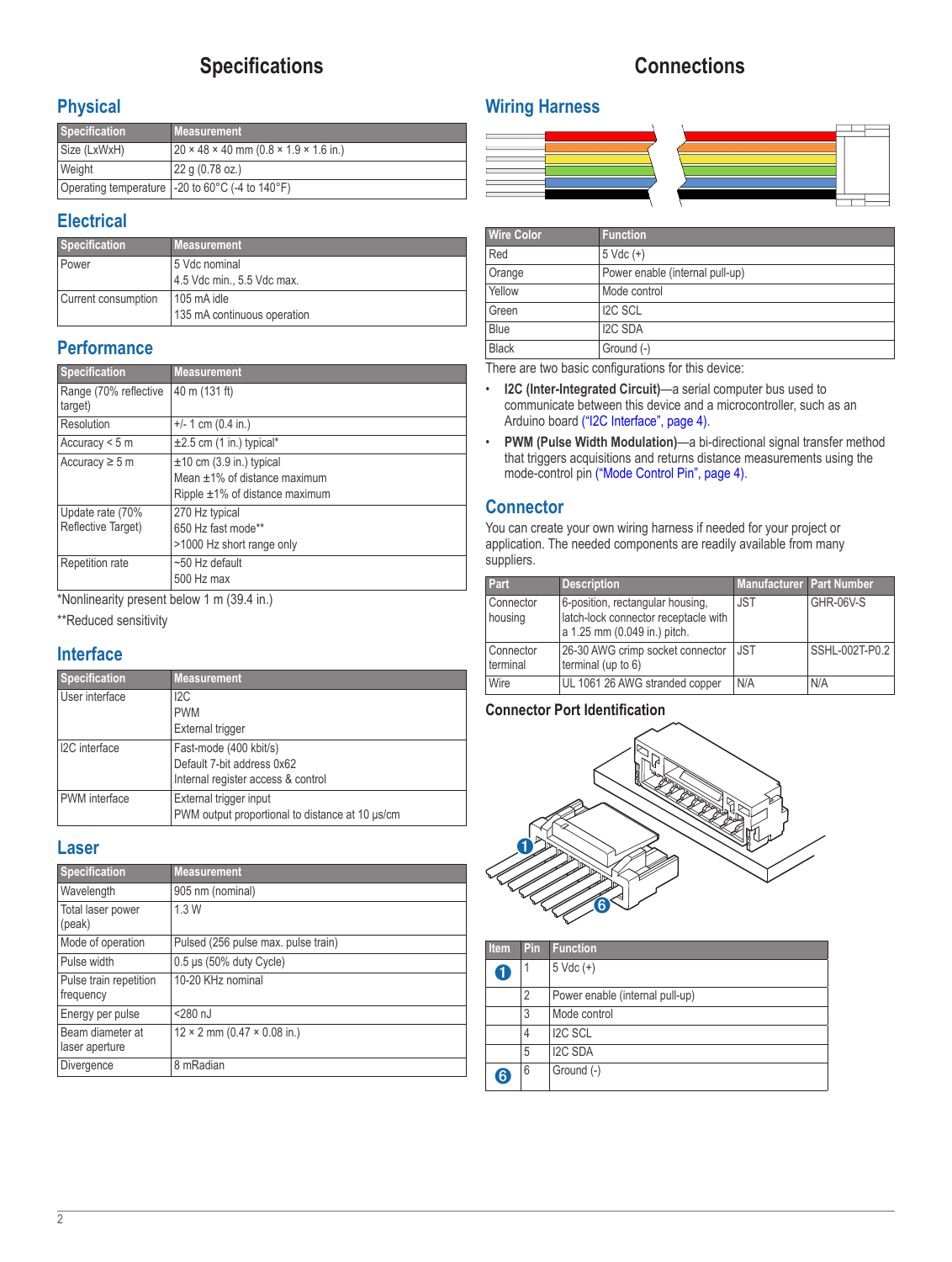# **Specifications**

# **Connections**

## <span id="page-1-0"></span>**Physical**

| <b>Specification</b> | <b>Measurement</b>                                              |
|----------------------|-----------------------------------------------------------------|
| Size (LxWxH)         | $20 \times 48 \times 40$ mm (0.8 $\times$ 1.9 $\times$ 1.6 in.) |
| Weight               | 22 g (0.78 oz.)                                                 |
|                      | Operating temperature   -20 to 60°C (-4 to 140°F)               |

## **Electrical**

| Specification       | <b>Measurement</b>          |
|---------------------|-----------------------------|
| Power               | 5 Vdc nominal               |
|                     | 4.5 Vdc min., 5.5 Vdc max.  |
| Current consumption | 105 mA idle                 |
|                     | 135 mA continuous operation |

## **Performance**

| <b>Specification</b>                   | <b>Measurement</b>                                                                                         |
|----------------------------------------|------------------------------------------------------------------------------------------------------------|
| Range (70% reflective<br>target)       | 40 m (131 ft)                                                                                              |
| Resolution                             | $+/- 1$ cm (0.4 in.)                                                                                       |
| Accuracy $<$ 5 m                       | $\pm 2.5$ cm (1 in.) typical*                                                                              |
| Accuracy $\geq$ 5 m                    | $\pm$ 10 cm (3.9 in.) typical<br>Mean $\pm$ 1% of distance maximum<br>Ripple $\pm 1\%$ of distance maximum |
| Update rate (70%<br>Reflective Target) | 270 Hz typical<br>650 Hz fast mode**<br>>1000 Hz short range only                                          |
| Repetition rate                        | $~50$ Hz default<br>500 Hz max                                                                             |

\*Nonlinearity present below 1 m (39.4 in.)

\*\*Reduced sensitivity

## **Interface**

| <b>Specification</b> | <b>Measurement</b>                                                        |
|----------------------|---------------------------------------------------------------------------|
| User interface       | 12C                                                                       |
|                      | <b>PWM</b>                                                                |
|                      | External trigger                                                          |
| I2C interface        | Fast-mode (400 kbit/s)                                                    |
|                      | Default 7-bit address 0x62                                                |
|                      | Internal register access & control                                        |
| PWM interface        | External trigger input<br>PWM output proportional to distance at 10 us/cm |

### **Laser**

| <b>Specification</b>                | <b>Measurement</b>                        |  |
|-------------------------------------|-------------------------------------------|--|
| Wavelength                          | 905 nm (nominal)                          |  |
| Total laser power<br>(peak)         | 1.3W                                      |  |
| Mode of operation                   | Pulsed (256 pulse max. pulse train)       |  |
| Pulse width                         | $0.5 \,\mu s$ (50% duty Cycle)            |  |
| Pulse train repetition<br>frequency | 10-20 KHz nominal                         |  |
| Energy per pulse                    | $<$ 280 $nJ$                              |  |
| Beam diameter at<br>laser aperture  | $12 \times 2$ mm (0.47 $\times$ 0.08 in.) |  |
| Divergence                          | 8 mRadian                                 |  |

# **Wiring Harness**



| <b>Wire Color</b>           | <b>Function</b>                 |  |
|-----------------------------|---------------------------------|--|
| Red<br>$5 \text{ Vdc } (+)$ |                                 |  |
| Orange                      | Power enable (internal pull-up) |  |
| Yellow                      | Mode control                    |  |
| Green                       | <b>I2C SCL</b>                  |  |
| Blue                        | <b>I2C SDA</b>                  |  |
| <b>Black</b>                | Ground (-)                      |  |

There are two basic configurations for this device:

- **I2C (Inter-Integrated Circuit)**—a serial computer bus used to communicate between this device and a microcontroller, such as an Arduino board [\("I2C Interface", page](#page-3-1) 4).
- **PWM (Pulse Width Modulation)**—a bi-directional signal transfer method that triggers acquisitions and returns distance measurements using the mode-control pin [\("Mode Control Pin", page](#page-3-2) 4).

## **Connector**

You can create your own wiring harness if needed for your project or application. The needed components are readily available from many suppliers.

| Part                  | <b>Description</b>                                                                                       | Manufacturer Part Number |                |
|-----------------------|----------------------------------------------------------------------------------------------------------|--------------------------|----------------|
| Connector<br>housing  | 6-position, rectangular housing,<br>latch-lock connector receptacle with<br>a 1.25 mm (0.049 in.) pitch. | <b>JST</b>               | GHR-06V-S      |
| Connector<br>terminal | 26-30 AWG crimp socket connector<br>terminal (up to $6$ )                                                | <b>JST</b>               | SSHL-002T-P0.2 |
| Wire                  | UL 1061 26 AWG stranded copper                                                                           | N/A                      | N/A            |

### **Connector Port Identification**



| <b>Item</b> | Pin | <b>Function</b>                 |
|-------------|-----|---------------------------------|
| 1           | 1   | $5 \text{ Vdc } (+)$            |
|             | 2   | Power enable (internal pull-up) |
|             | 3   | Mode control                    |
|             | 4   | <b>I2C SCL</b>                  |
|             | 5   | <b>I2C SDA</b>                  |
| 6)          | 6   | Ground (-)                      |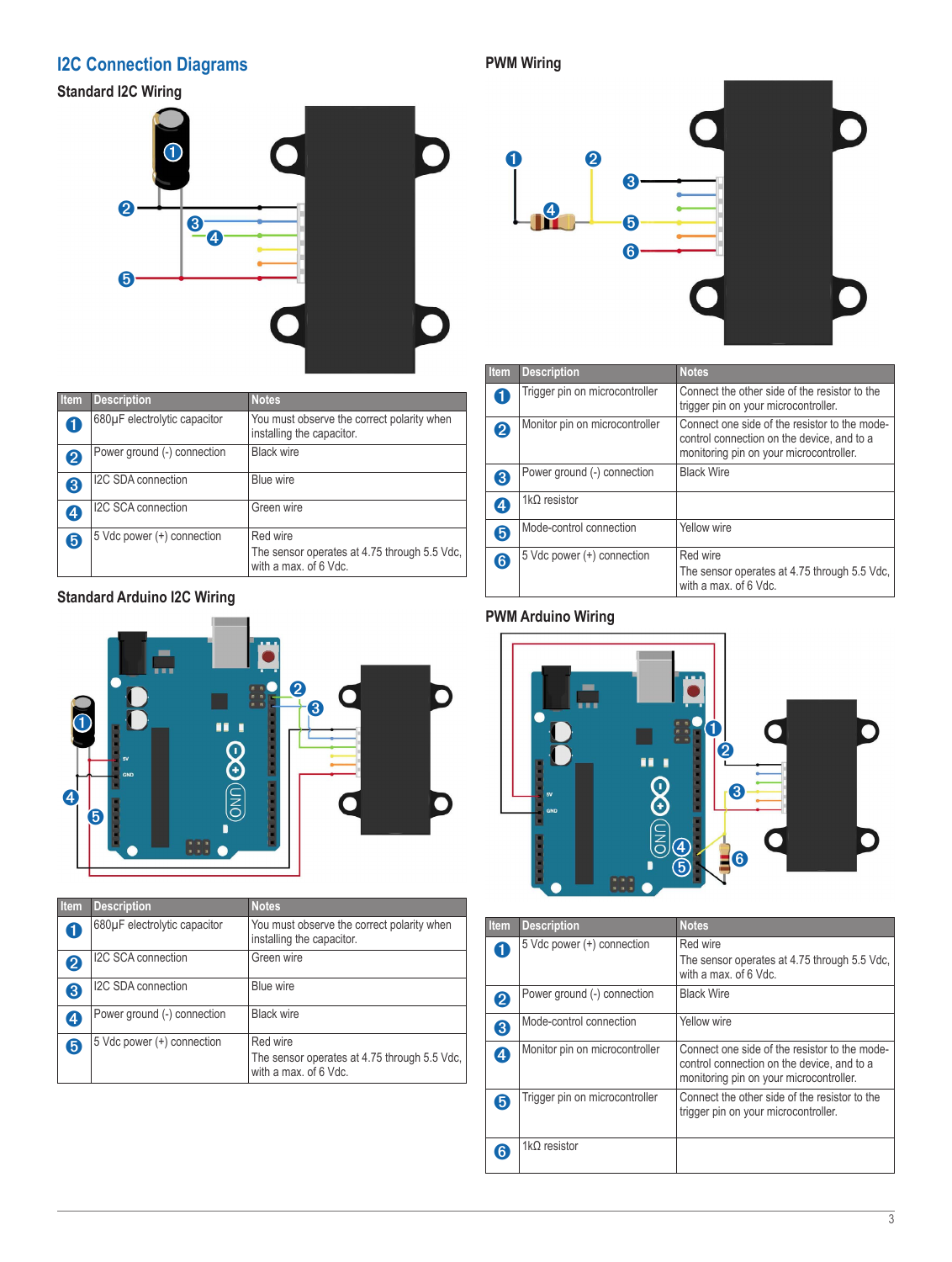# <span id="page-2-0"></span>**I2C Connection Diagrams**

**Standard I2C Wiring**



| <b>Item</b> | <b>Description</b>           | <b>Notes</b>                                                                      |
|-------------|------------------------------|-----------------------------------------------------------------------------------|
|             | 680µF electrolytic capacitor | You must observe the correct polarity when<br>installing the capacitor.           |
| 2           | Power ground (-) connection  | <b>Black wire</b>                                                                 |
| 3           | I2C SDA connection           | Blue wire                                                                         |
| 4           | I2C SCA connection           | Green wire                                                                        |
| 6           | 5 Vdc power (+) connection   | Red wire<br>The sensor operates at 4.75 through 5.5 Vdc,<br>with a max, of 6 Vdc. |

## **Standard Arduino I2C Wiring**



| <b>Item</b>      | <b>Description</b>           | <b>Notes</b>                                                                      |
|------------------|------------------------------|-----------------------------------------------------------------------------------|
|                  | 680µF electrolytic capacitor | You must observe the correct polarity when<br>installing the capacitor.           |
| 2                | I2C SCA connection           | Green wire                                                                        |
| 3                | I2C SDA connection           | Blue wire                                                                         |
| $\boldsymbol{A}$ | Power ground (-) connection  | <b>Black wire</b>                                                                 |
| 6                | 5 Vdc power (+) connection   | Red wire<br>The sensor operates at 4.75 through 5.5 Vdc,<br>with a max, of 6 Vdc. |

# **PWM Wiring**



| Item | <b>Description</b>             | <b>Notes</b>                                                                                                                           |
|------|--------------------------------|----------------------------------------------------------------------------------------------------------------------------------------|
| 0    | Trigger pin on microcontroller | Connect the other side of the resistor to the<br>trigger pin on your microcontroller.                                                  |
| 2    | Monitor pin on microcontroller | Connect one side of the resistor to the mode-<br>control connection on the device, and to a<br>monitoring pin on your microcontroller. |
| 3    | Power ground (-) connection    | <b>Black Wire</b>                                                                                                                      |
| 4    | $1k\Omega$ resistor            |                                                                                                                                        |
| 6    | Mode-control connection        | Yellow wire                                                                                                                            |
| 6    | 5 Vdc power (+) connection     | Red wire<br>The sensor operates at 4.75 through 5.5 Vdc,<br>with a max, of 6 Vdc.                                                      |

## <span id="page-2-1"></span>**PWM Arduino Wiring**



| <b>Item</b>       | <b>Description</b>             | <b>Notes</b>                                                                                                                           |
|-------------------|--------------------------------|----------------------------------------------------------------------------------------------------------------------------------------|
| 61                | 5 Vdc power (+) connection     | Red wire<br>The sensor operates at 4.75 through 5.5 Vdc.<br>with a max, of 6 Vdc.                                                      |
| $\left 2\right $  | Power ground (-) connection    | <b>Black Wire</b>                                                                                                                      |
| 8                 | Mode-control connection        | Yellow wire                                                                                                                            |
| $\boldsymbol{A}$  | Monitor pin on microcontroller | Connect one side of the resistor to the mode-<br>control connection on the device, and to a<br>monitoring pin on your microcontroller. |
| 6                 | Trigger pin on microcontroller | Connect the other side of the resistor to the<br>trigger pin on your microcontroller.                                                  |
| $\left[ 6\right]$ | $1k\Omega$ resistor            |                                                                                                                                        |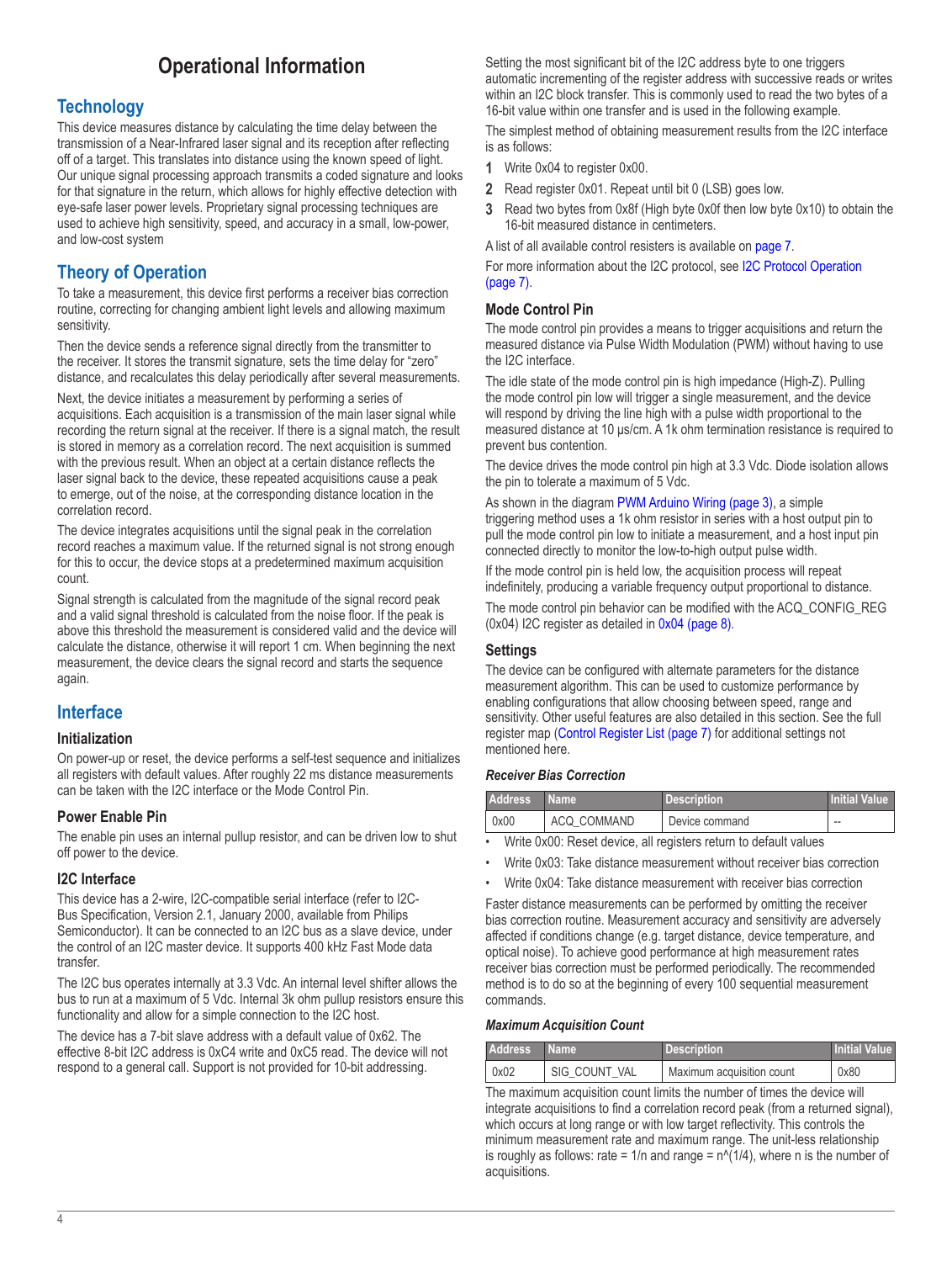# **Operational Information**

## <span id="page-3-0"></span>**Technology**

This device measures distance by calculating the time delay between the transmission of a Near-Infrared laser signal and its reception after reflecting off of a target. This translates into distance using the known speed of light. Our unique signal processing approach transmits a coded signature and looks for that signature in the return, which allows for highly effective detection with eye-safe laser power levels. Proprietary signal processing techniques are used to achieve high sensitivity, speed, and accuracy in a small, low-power, and low-cost system

## **Theory of Operation**

To take a measurement, this device first performs a receiver bias correction routine, correcting for changing ambient light levels and allowing maximum sensitivity.

Then the device sends a reference signal directly from the transmitter to the receiver. It stores the transmit signature, sets the time delay for "zero" distance, and recalculates this delay periodically after several measurements.

Next, the device initiates a measurement by performing a series of acquisitions. Each acquisition is a transmission of the main laser signal while recording the return signal at the receiver. If there is a signal match, the result is stored in memory as a correlation record. The next acquisition is summed with the previous result. When an object at a certain distance reflects the laser signal back to the device, these repeated acquisitions cause a peak to emerge, out of the noise, at the corresponding distance location in the correlation record.

The device integrates acquisitions until the signal peak in the correlation record reaches a maximum value. If the returned signal is not strong enough for this to occur, the device stops at a predetermined maximum acquisition count.

Signal strength is calculated from the magnitude of the signal record peak and a valid signal threshold is calculated from the noise floor. If the peak is above this threshold the measurement is considered valid and the device will calculate the distance, otherwise it will report 1 cm. When beginning the next measurement, the device clears the signal record and starts the sequence again.

## **Interface**

### **Initialization**

On power-up or reset, the device performs a self-test sequence and initializes all registers with default values. After roughly 22 ms distance measurements can be taken with the I2C interface or the Mode Control Pin.

### **Power Enable Pin**

The enable pin uses an internal pullup resistor, and can be driven low to shut off power to the device.

### <span id="page-3-1"></span>**I2C Interface**

This device has a 2-wire, I2C-compatible serial interface (refer to I2C-Bus Specification, Version 2.1, January 2000, available from Philips Semiconductor). It can be connected to an I2C bus as a slave device, under the control of an I2C master device. It supports 400 kHz Fast Mode data transfer.

The I2C bus operates internally at 3.3 Vdc. An internal level shifter allows the bus to run at a maximum of 5 Vdc. Internal 3k ohm pullup resistors ensure this functionality and allow for a simple connection to the I2C host.

The device has a 7-bit slave address with a default value of 0x62. The effective 8-bit I2C address is 0xC4 write and 0xC5 read. The device will not respond to a general call. Support is not provided for 10-bit addressing.

Setting the most significant bit of the I2C address byte to one triggers automatic incrementing of the register address with successive reads or writes within an I2C block transfer. This is commonly used to read the two bytes of a 16-bit value within one transfer and is used in the following example.

The simplest method of obtaining measurement results from the I2C interface is as follows:

- **1** Write 0x04 to register 0x00.
- **2** Read register 0x01. Repeat until bit 0 (LSB) goes low.
- **3** Read two bytes from 0x8f (High byte 0x0f then low byte 0x10) to obtain the 16-bit measured distance in centimeters.

A list of all available control resisters is available on [page](#page-6-1) 7.

For more information about the I2C protocol, see [I2C Protocol Operation](#page-6-2)  [\(page](#page-6-2) 7).

### <span id="page-3-2"></span>**Mode Control Pin**

The mode control pin provides a means to trigger acquisitions and return the measured distance via Pulse Width Modulation (PWM) without having to use the I2C interface.

The idle state of the mode control pin is high impedance (High-Z). Pulling the mode control pin low will trigger a single measurement, and the device will respond by driving the line high with a pulse width proportional to the measured distance at 10 μs/cm. A 1k ohm termination resistance is required to prevent bus contention.

The device drives the mode control pin high at 3.3 Vdc. Diode isolation allows the pin to tolerate a maximum of 5 Vdc.

As shown in the diagram [PWM Arduino Wiring \(page](#page-2-1) 3), a simple triggering method uses a 1k ohm resistor in series with a host output pin to pull the mode control pin low to initiate a measurement, and a host input pin connected directly to monitor the low-to-high output pulse width.

If the mode control pin is held low, the acquisition process will repeat indefinitely, producing a variable frequency output proportional to distance.

The mode control pin behavior can be modified with the ACQ\_CONFIG\_REG (0x04) I2C register as detailed in [0x04 \(page](#page-7-1) 8).

#### **Settings**

The device can be configured with alternate parameters for the distance measurement algorithm. This can be used to customize performance by enabling configurations that allow choosing between speed, range and sensitivity. Other useful features are also detailed in this section. See the full register map [\(Control Register List \(page](#page-6-1) 7) for additional settings not mentioned here.

#### *Receiver Bias Correction*

| <b>Address</b>                                                   | <b>Name</b>   | <b>Description</b> | <b>Initial Value</b> |  |
|------------------------------------------------------------------|---------------|--------------------|----------------------|--|
| $\log 00$                                                        | ' ACQ COMMAND | Device command     | $-1$                 |  |
| . Muite 0.00. Denna deuine all senigtese setuse te defeuit unune |               |                    |                      |  |

• Write 0x00: Reset device, all registers return to default values

• Write 0x03: Take distance measurement without receiver bias correction

• Write 0x04: Take distance measurement with receiver bias correction

Faster distance measurements can be performed by omitting the receiver bias correction routine. Measurement accuracy and sensitivity are adversely affected if conditions change (e.g. target distance, device temperature, and optical noise). To achieve good performance at high measurement rates receiver bias correction must be performed periodically. The recommended method is to do so at the beginning of every 100 sequential measurement commands.

#### *Maximum Acquisition Count*

| <b>Address</b> | ⊟Name ∶       | Description               | <b>Initial Value</b> |
|----------------|---------------|---------------------------|----------------------|
| $\log 02$      | SIG COUNT VAL | Maximum acquisition count | 0x80                 |

The maximum acquisition count limits the number of times the device will integrate acquisitions to find a correlation record peak (from a returned signal), which occurs at long range or with low target reflectivity. This controls the minimum measurement rate and maximum range. The unit-less relationship is roughly as follows: rate =  $1/n$  and range =  $n^2(1/4)$ , where n is the number of acquisitions.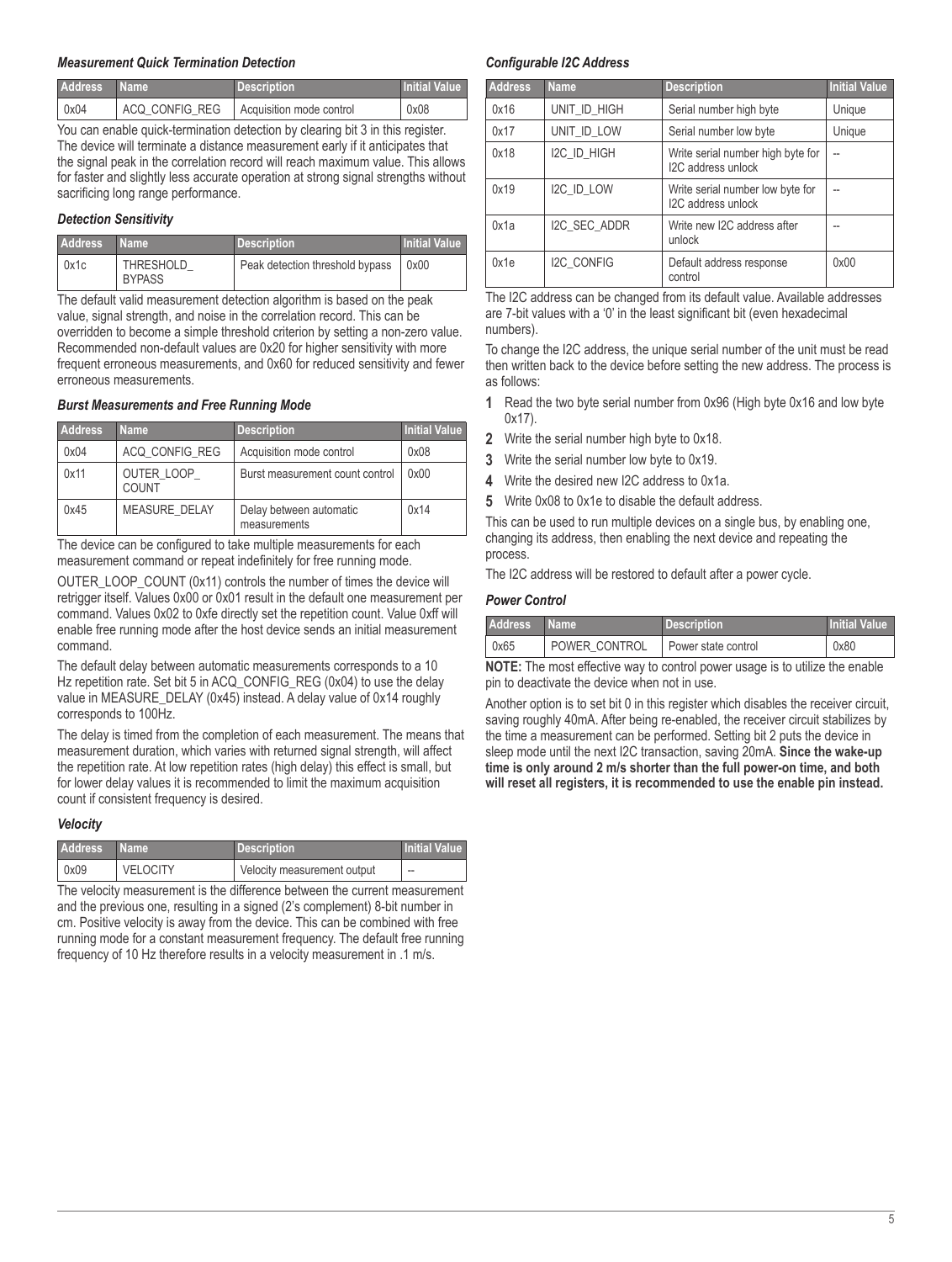#### *Measurement Quick Termination Detection*

| <b>Address</b> | <b>Name</b>    | <b>Description</b>       | Initial Value |
|----------------|----------------|--------------------------|---------------|
| 0x04           | ACQ CONFIG REG | Acquisition mode control | 0x08          |

You can enable quick-termination detection by clearing bit 3 in this register. The device will terminate a distance measurement early if it anticipates that the signal peak in the correlation record will reach maximum value. This allows for faster and slightly less accurate operation at strong signal strengths without sacrificing long range performance.

#### *Detection Sensitivity*

| <b>Address</b> | ⊦Name∶                            | <b>Description</b>              | <b>Initial Value</b> |
|----------------|-----------------------------------|---------------------------------|----------------------|
| 0x1c           | <b>THRESHOLD</b><br><b>BYPASS</b> | Peak detection threshold bypass | 0x00                 |

The default valid measurement detection algorithm is based on the peak value, signal strength, and noise in the correlation record. This can be overridden to become a simple threshold criterion by setting a non-zero value. Recommended non-default values are 0x20 for higher sensitivity with more frequent erroneous measurements, and 0x60 for reduced sensitivity and fewer erroneous measurements.

#### *Burst Measurements and Free Running Mode*

| <b>Address</b> | <b>Name</b>          | <b>Description</b>                      | <b>Initial Value</b> |
|----------------|----------------------|-----------------------------------------|----------------------|
| 0x04           | ACQ CONFIG REG       | Acquisition mode control                | 0x08                 |
| 0x11           | OUTER LOOP<br>COUNT  | Burst measurement count control         | 0x00                 |
| 0x45           | <b>MEASURE DELAY</b> | Delay between automatic<br>measurements | 0x14                 |

The device can be configured to take multiple measurements for each measurement command or repeat indefinitely for free running mode.

OUTER\_LOOP\_COUNT (0x11) controls the number of times the device will retrigger itself. Values 0x00 or 0x01 result in the default one measurement per command. Values 0x02 to 0xfe directly set the repetition count. Value 0xff will enable free running mode after the host device sends an initial measurement command.

The default delay between automatic measurements corresponds to a 10 Hz repetition rate. Set bit 5 in ACQ\_CONFIG\_REG (0x04) to use the delay value in MEASURE\_DELAY (0x45) instead. A delay value of 0x14 roughly corresponds to 100Hz.

The delay is timed from the completion of each measurement. The means that measurement duration, which varies with returned signal strength, will affect the repetition rate. At low repetition rates (high delay) this effect is small, but for lower delay values it is recommended to limit the maximum acquisition count if consistent frequency is desired.

#### *Velocity*

| <b>Address</b> | ' Name          | <b>Description</b>          | <b>Initial Value</b> |
|----------------|-----------------|-----------------------------|----------------------|
| 0x09           | <b>VELOCITY</b> | Velocity measurement output | $-$                  |

The velocity measurement is the difference between the current measurement and the previous one, resulting in a signed (2's complement) 8-bit number in cm. Positive velocity is away from the device. This can be combined with free running mode for a constant measurement frequency. The default free running frequency of 10 Hz therefore results in a velocity measurement in .1 m/s.

#### *Configurable I2C Address*

| Address | <b>Name</b>       | <b>Description</b>                                      | <b>Initial Value</b> |
|---------|-------------------|---------------------------------------------------------|----------------------|
| 0x16    | UNIT ID HIGH      | Serial number high byte                                 | Unique               |
| 0x17    | UNIT ID LOW       | Serial number low byte                                  | Unique               |
| 0x18    | I2C ID HIGH       | Write serial number high byte for<br>I2C address unlock | $\overline{a}$       |
| 0x19    | I2C_ID_LOW        | Write serial number low byte for<br>I2C address unlock  | $\overline{a}$       |
| 0x1a    | I2C SEC ADDR      | Write new I2C address after<br>unlock                   |                      |
| 0x1e    | <b>I2C CONFIG</b> | Default address response<br>control                     | 0x00                 |

The I2C address can be changed from its default value. Available addresses are 7-bit values with a '0' in the least significant bit (even hexadecimal numbers).

To change the I2C address, the unique serial number of the unit must be read then written back to the device before setting the new address. The process is as follows:

- **1** Read the two byte serial number from 0x96 (High byte 0x16 and low byte 0x17).
- **2** Write the serial number high byte to 0x18.
- **3** Write the serial number low byte to 0x19.
- **4** Write the desired new I2C address to 0x1a.
- **5** Write 0x08 to 0x1e to disable the default address.

This can be used to run multiple devices on a single bus, by enabling one, changing its address, then enabling the next device and repeating the process.

The I2C address will be restored to default after a power cycle.

#### *Power Control*

| Address <sup>'</sup> | <b>Name</b>   | <b>Description</b>               | I Initial Value |
|----------------------|---------------|----------------------------------|-----------------|
| 0x65                 | POWER CONTROL | <sup>1</sup> Power state control | 0x80            |

**NOTE:** The most effective way to control power usage is to utilize the enable pin to deactivate the device when not in use.

Another option is to set bit 0 in this register which disables the receiver circuit, saving roughly 40mA. After being re-enabled, the receiver circuit stabilizes by the time a measurement can be performed. Setting bit 2 puts the device in sleep mode until the next I2C transaction, saving 20mA. **Since the wake-up time is only around 2 m/s shorter than the full power-on time, and both will reset all registers, it is recommended to use the enable pin instead.**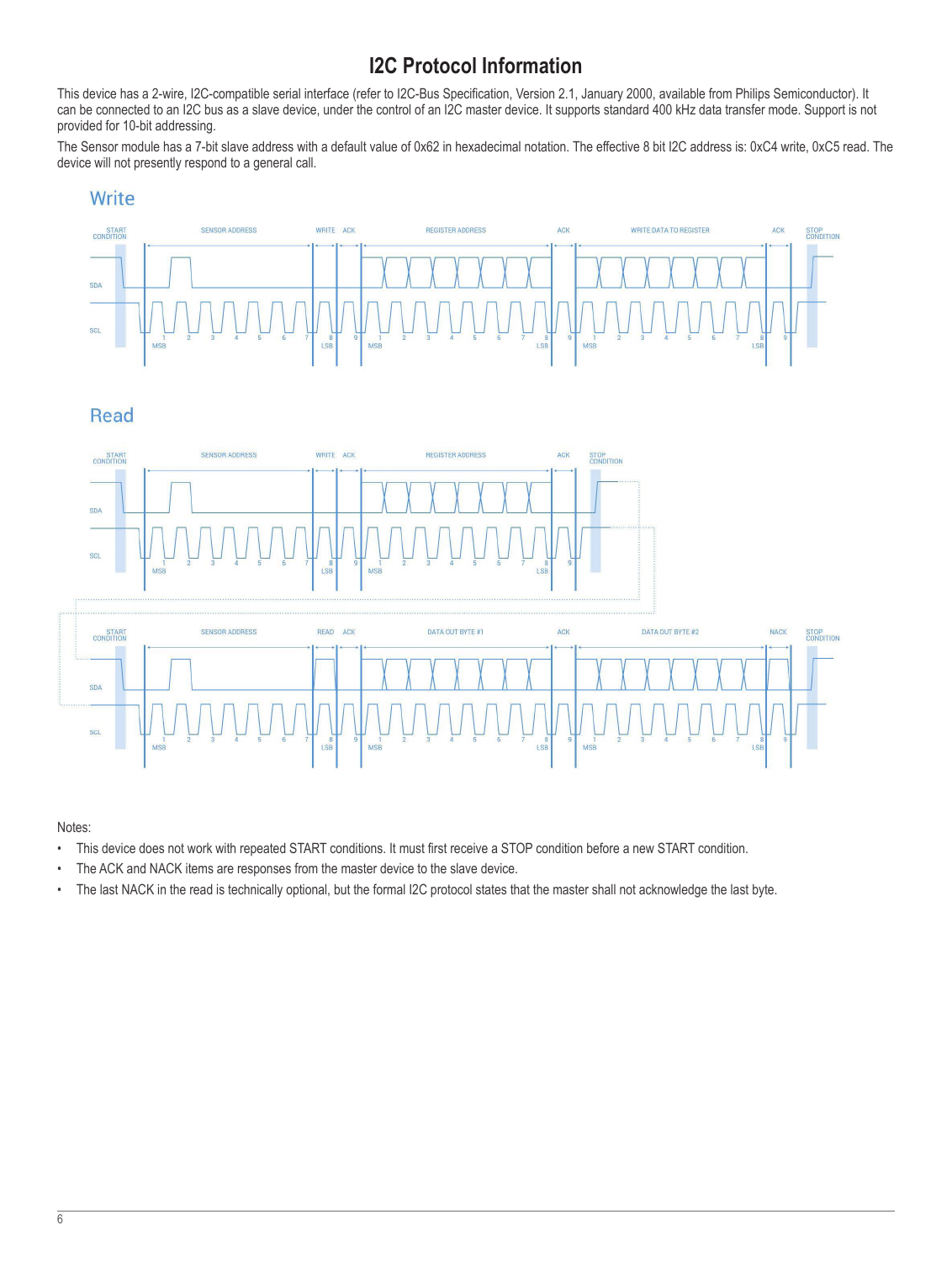# **I2C Protocol Information**

<span id="page-5-0"></span>This device has a 2-wire, I2C-compatible serial interface (refer to I2C-Bus Specification, Version 2.1, January 2000, available from Philips Semiconductor). It can be connected to an I2C bus as a slave device, under the control of an I2C master device. It supports standard 400 kHz data transfer mode. Support is not provided for 10-bit addressing.

The Sensor module has a 7-bit slave address with a default value of 0x62 in hexadecimal notation. The effective 8 bit I2C address is: 0xC4 write, 0xC5 read. The device will not presently respond to a general call.

## Write



## **Read**





### Notes:

- This device does not work with repeated START conditions. It must first receive a STOP condition before a new START condition.
- The ACK and NACK items are responses from the master device to the slave device.
- The last NACK in the read is technically optional, but the formal I2C protocol states that the master shall not acknowledge the last byte.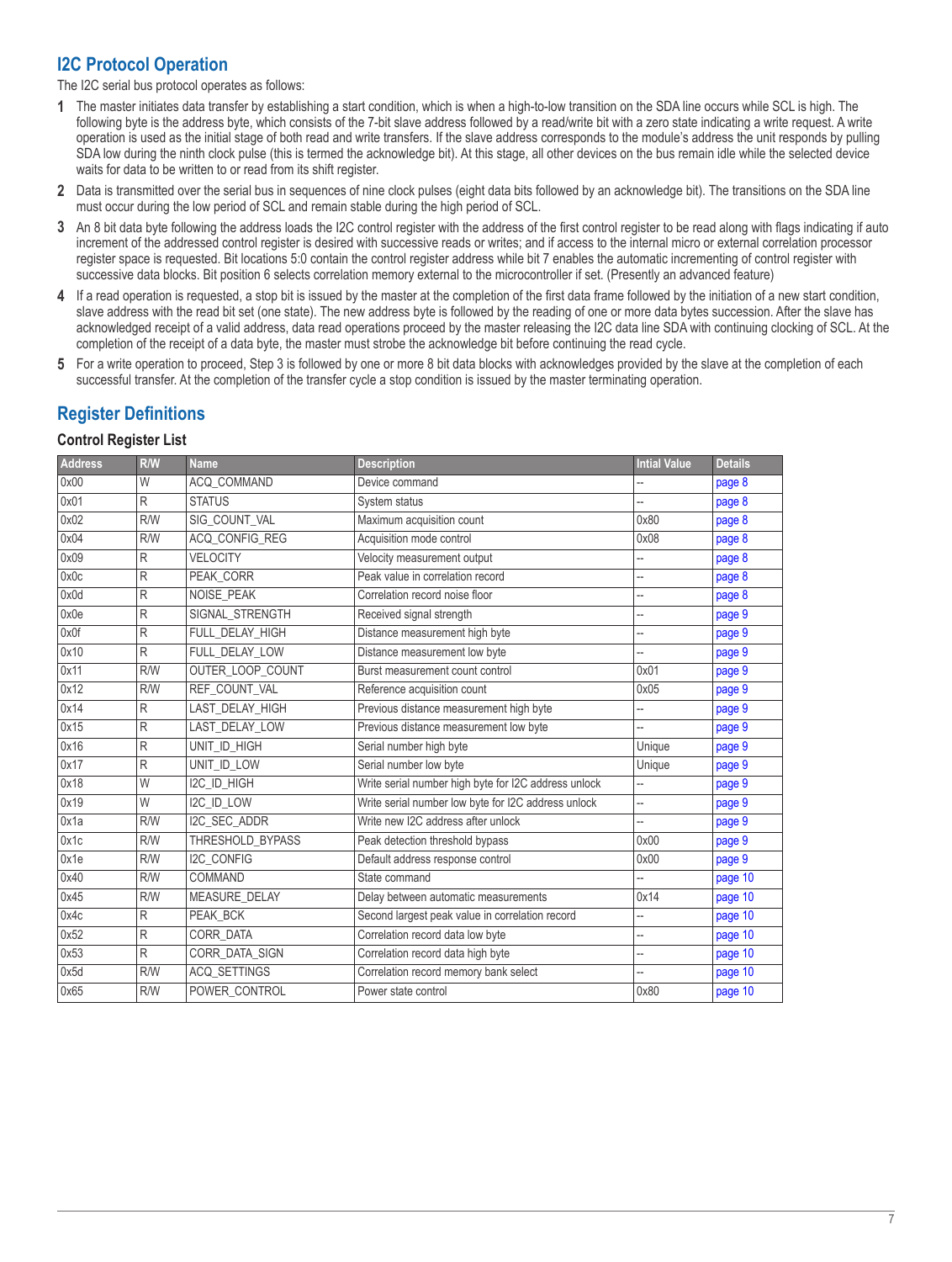## <span id="page-6-2"></span><span id="page-6-0"></span>**I2C Protocol Operation**

The I2C serial bus protocol operates as follows:

- **1** The master initiates data transfer by establishing a start condition, which is when a high-to-low transition on the SDA line occurs while SCL is high. The following byte is the address byte, which consists of the 7-bit slave address followed by a read/write bit with a zero state indicating a write request. A write operation is used as the initial stage of both read and write transfers. If the slave address corresponds to the module's address the unit responds by pulling SDA low during the ninth clock pulse (this is termed the acknowledge bit). At this stage, all other devices on the bus remain idle while the selected device waits for data to be written to or read from its shift register.
- **2** Data is transmitted over the serial bus in sequences of nine clock pulses (eight data bits followed by an acknowledge bit). The transitions on the SDA line must occur during the low period of SCL and remain stable during the high period of SCL.
- **3** An 8 bit data byte following the address loads the I2C control register with the address of the first control register to be read along with flags indicating if auto increment of the addressed control register is desired with successive reads or writes; and if access to the internal micro or external correlation processor register space is requested. Bit locations 5:0 contain the control register address while bit 7 enables the automatic incrementing of control register with successive data blocks. Bit position 6 selects correlation memory external to the microcontroller if set. (Presently an advanced feature)
- **4** If a read operation is requested, a stop bit is issued by the master at the completion of the first data frame followed by the initiation of a new start condition, slave address with the read bit set (one state). The new address byte is followed by the reading of one or more data bytes succession. After the slave has acknowledged receipt of a valid address, data read operations proceed by the master releasing the I2C data line SDA with continuing clocking of SCL. At the completion of the receipt of a data byte, the master must strobe the acknowledge bit before continuing the read cycle.
- **5** For a write operation to proceed, Step 3 is followed by one or more 8 bit data blocks with acknowledges provided by the slave at the completion of each successful transfer. At the completion of the transfer cycle a stop condition is issued by the master terminating operation.

## **Register Definitions**

#### <span id="page-6-1"></span>**Control Register List**

| R/W | <b>Name</b>          | <b>Description</b>                                   | <b>Intial Value</b> | <b>Details</b> |
|-----|----------------------|------------------------------------------------------|---------------------|----------------|
| W   | ACQ_COMMAND          | Device command                                       |                     | page 8         |
| R   | <b>STATUS</b>        | System status                                        |                     | page 8         |
| R/W | SIG_COUNT_VAL        | Maximum acquisition count                            | 0x80                | page 8         |
| R/W | ACQ_CONFIG_REG       | Acquisition mode control                             | 0x08                | page 8         |
| R   | <b>VELOCITY</b>      | Velocity measurement output                          |                     | page 8         |
| R   | PEAK CORR            | Peak value in correlation record                     | --                  | page $8$       |
| R   | <b>NOISE PEAK</b>    | Correlation record noise floor                       | --                  | page 8         |
| R   | SIGNAL_STRENGTH      | Received signal strength                             | --                  | page 9         |
| R   | FULL_DELAY_HIGH      | Distance measurement high byte                       |                     | page 9         |
| R   | FULL DELAY LOW       | Distance measurement low byte                        |                     | page 9         |
| R/W | OUTER_LOOP_COUNT     | Burst measurement count control                      | 0x01                | page 9         |
| R/W | REF COUNT VAL        | Reference acquisition count                          | 0x05                | page 9         |
| R   | LAST DELAY HIGH      | Previous distance measurement high byte              | --                  | page 9         |
| R   | LAST DELAY LOW       | Previous distance measurement low byte               | --                  | page 9         |
| R   | UNIT_ID_HIGH         | Serial number high byte                              | Unique              | page 9         |
| R   | UNIT ID LOW          | Serial number low byte                               | Unique              | page 9         |
| W   | I2C_ID_HIGH          | Write serial number high byte for I2C address unlock | --                  | page 9         |
| W   | I2C_ID_LOW           | Write serial number low byte for I2C address unlock  | --                  | page 9         |
| R/W | I2C_SEC_ADDR         | Write new I2C address after unlock                   |                     | page 9         |
| R/W | THRESHOLD BYPASS     | Peak detection threshold bypass                      | 0x00                | page 9         |
| R/W | <b>I2C CONFIG</b>    | Default address response control                     | 0x00                | page 9         |
| R/W | COMMAND              | State command                                        |                     | page 10        |
| R/W | <b>MEASURE DELAY</b> | Delay between automatic measurements                 | 0x14                | page 10        |
| R   | PEAK_BCK             | Second largest peak value in correlation record      | --                  | page 10        |
| R   | CORR_DATA            | Correlation record data low byte                     | --                  | page 10        |
| R   | CORR_DATA_SIGN       | Correlation record data high byte                    |                     | page 10        |
| R/W | <b>ACQ SETTINGS</b>  | Correlation record memory bank select                | --                  | page 10        |
| R/W | POWER CONTROL        | Power state control                                  | 0x80                | page 10        |
|     |                      |                                                      |                     |                |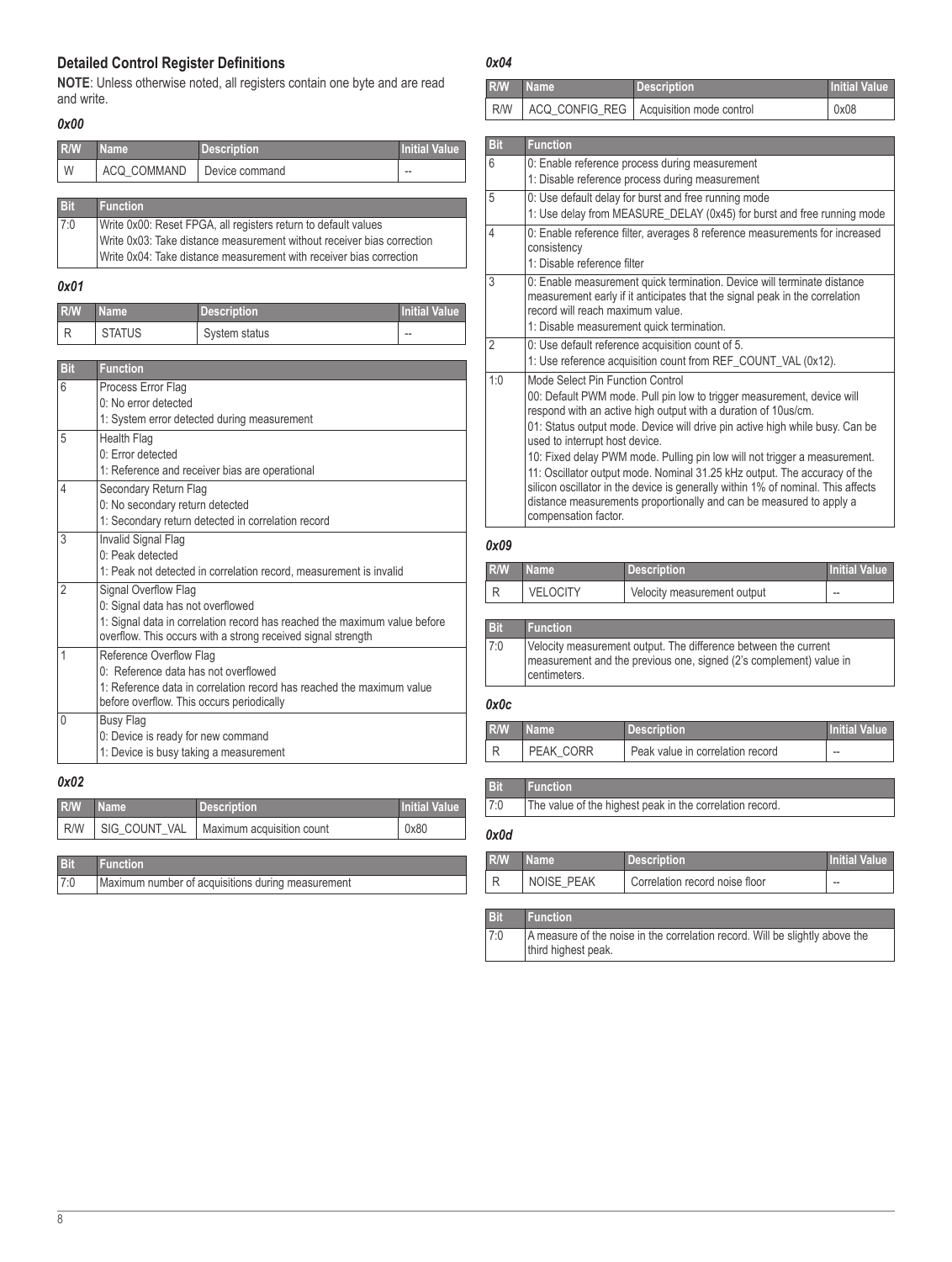### <span id="page-7-0"></span>**Detailed Control Register Definitions**

**NOTE**: Unless otherwise noted, all registers contain one byte and are read and write.

#### <span id="page-7-2"></span>*0x00*

| R/W        | <b>Name</b>                                                    | <b>Description</b> | Initial Value |
|------------|----------------------------------------------------------------|--------------------|---------------|
| W          | ACQ COMMAND                                                    | Device command     |               |
|            |                                                                |                    |               |
| <b>Bit</b> | <b>Function</b>                                                |                    |               |
| 7:0        | Write 0x00: Reset FPGA, all registers return to default values |                    |               |

| Write 0x03: Take distance measurement without receiver bias correction |
|------------------------------------------------------------------------|
| Write 0x04: Take distance measurement with receiver bias correction    |
|                                                                        |

#### <span id="page-7-3"></span>*0x01*

| R/W | <b>Name</b>   | Description   | Initial Value |
|-----|---------------|---------------|---------------|
|     | <b>STATUS</b> | System status | $\sim$        |

| <b>Bit</b>     | <b>Function</b>                                                                                                                                                                                        |
|----------------|--------------------------------------------------------------------------------------------------------------------------------------------------------------------------------------------------------|
| 6              | Process Error Flag<br>0: No error detected<br>1: System error detected during measurement                                                                                                              |
| 5              | Health Flag<br>$0$ : Frror detected<br>1: Reference and receiver bias are operational                                                                                                                  |
| 4              | Secondary Return Flag<br>0: No secondary return detected<br>1: Secondary return detected in correlation record                                                                                         |
| 3              | Invalid Signal Flag<br>0: Peak detected<br>1: Peak not detected in correlation record, measurement is invalid                                                                                          |
| $\overline{2}$ | Signal Overflow Flag<br>0: Signal data has not overflowed<br>1: Signal data in correlation record has reached the maximum value before<br>overflow. This occurs with a strong received signal strength |
| 1              | Reference Overflow Flag<br>0: Reference data has not overflowed<br>1: Reference data in correlation record has reached the maximum value<br>before overflow. This occurs periodically                  |
| $\Omega$       | <b>Busy Flag</b><br>0: Device is ready for new command<br>1: Device is busy taking a measurement                                                                                                       |

### <span id="page-7-4"></span>*0x02*

| R/W | <b>Name</b>     | <b>Description</b>        | <b>Initial Value</b> |
|-----|-----------------|---------------------------|----------------------|
| R/W | SIG COUNT VAL   | Maximum acquisition count | 0x80                 |
|     |                 |                           |                      |
| Bit | <b>Function</b> |                           |                      |

| 7:0 | Maximum number of acquisitions during measurement |
|-----|---------------------------------------------------|

### <span id="page-7-1"></span>*0x04*

| R/W | Name | Description                                     | <b>Initial Value</b> |
|-----|------|-------------------------------------------------|----------------------|
|     |      | R/W   ACQ_CONFIG_REG   Acquisition mode control | 0x08                 |

| <b>Bit</b>     | <b>Function</b>                                                                                                                                                                                                                                                                                                                                                                                                                                                                                                                                                                                                                             |
|----------------|---------------------------------------------------------------------------------------------------------------------------------------------------------------------------------------------------------------------------------------------------------------------------------------------------------------------------------------------------------------------------------------------------------------------------------------------------------------------------------------------------------------------------------------------------------------------------------------------------------------------------------------------|
| 6              | 0: Enable reference process during measurement<br>1: Disable reference process during measurement                                                                                                                                                                                                                                                                                                                                                                                                                                                                                                                                           |
| 5              | 0: Use default delay for burst and free running mode<br>1: Use delay from MEASURE_DELAY (0x45) for burst and free running mode                                                                                                                                                                                                                                                                                                                                                                                                                                                                                                              |
| 4              | 0: Enable reference filter, averages 8 reference measurements for increased<br>consistency<br>1: Disable reference filter                                                                                                                                                                                                                                                                                                                                                                                                                                                                                                                   |
| 3              | 0: Enable measurement quick termination. Device will terminate distance<br>measurement early if it anticipates that the signal peak in the correlation<br>record will reach maximum value.<br>1: Disable measurement quick termination.                                                                                                                                                                                                                                                                                                                                                                                                     |
| $\overline{2}$ | 0: Use default reference acquisition count of 5.<br>1: Use reference acquisition count from REF_COUNT_VAL (0x12).                                                                                                                                                                                                                                                                                                                                                                                                                                                                                                                           |
| 1:0            | Mode Select Pin Function Control<br>00: Default PWM mode. Pull pin low to trigger measurement, device will<br>respond with an active high output with a duration of 10us/cm.<br>01: Status output mode. Device will drive pin active high while busy. Can be<br>used to interrupt host device.<br>10: Fixed delay PWM mode. Pulling pin low will not trigger a measurement.<br>11: Oscillator output mode. Nominal 31.25 kHz output. The accuracy of the<br>silicon oscillator in the device is generally within 1% of nominal. This affects<br>distance measurements proportionally and can be measured to apply a<br>compensation factor. |

### <span id="page-7-5"></span>*0x09*

| <b>R/W</b> | Mame :          | <b>Description</b>          | <b>Initial Value</b> |
|------------|-----------------|-----------------------------|----------------------|
|            | <b>VELOCITY</b> | Velocity measurement output | $\sim$               |

### **Bit Function**

| 7:0 | Velocity measurement output. The difference between the current    |
|-----|--------------------------------------------------------------------|
|     | measurement and the previous one, signed (2's complement) value in |
|     | centimeters.                                                       |
|     |                                                                    |

### <span id="page-7-6"></span>*0x0c*

| R/W | ' Name '  | <b>Description</b>               | <b>Initial Value</b> |
|-----|-----------|----------------------------------|----------------------|
|     | PFAK CORR | Peak value in correlation record | $-$                  |

## <span id="page-7-7"></span>*0x0d*

| R/W | <b>Name</b>       | <b>Description</b>             | <b>Initial Value</b> |
|-----|-------------------|--------------------------------|----------------------|
|     | <b>NOISE PEAK</b> | Correlation record noise floor | $\sim$               |

7:0 The value of the highest peak in the correlation record.

#### **Bit Function**

**Bit Function**

7:0 A measure of the noise in the correlation record. Will be slightly above the third highest peak.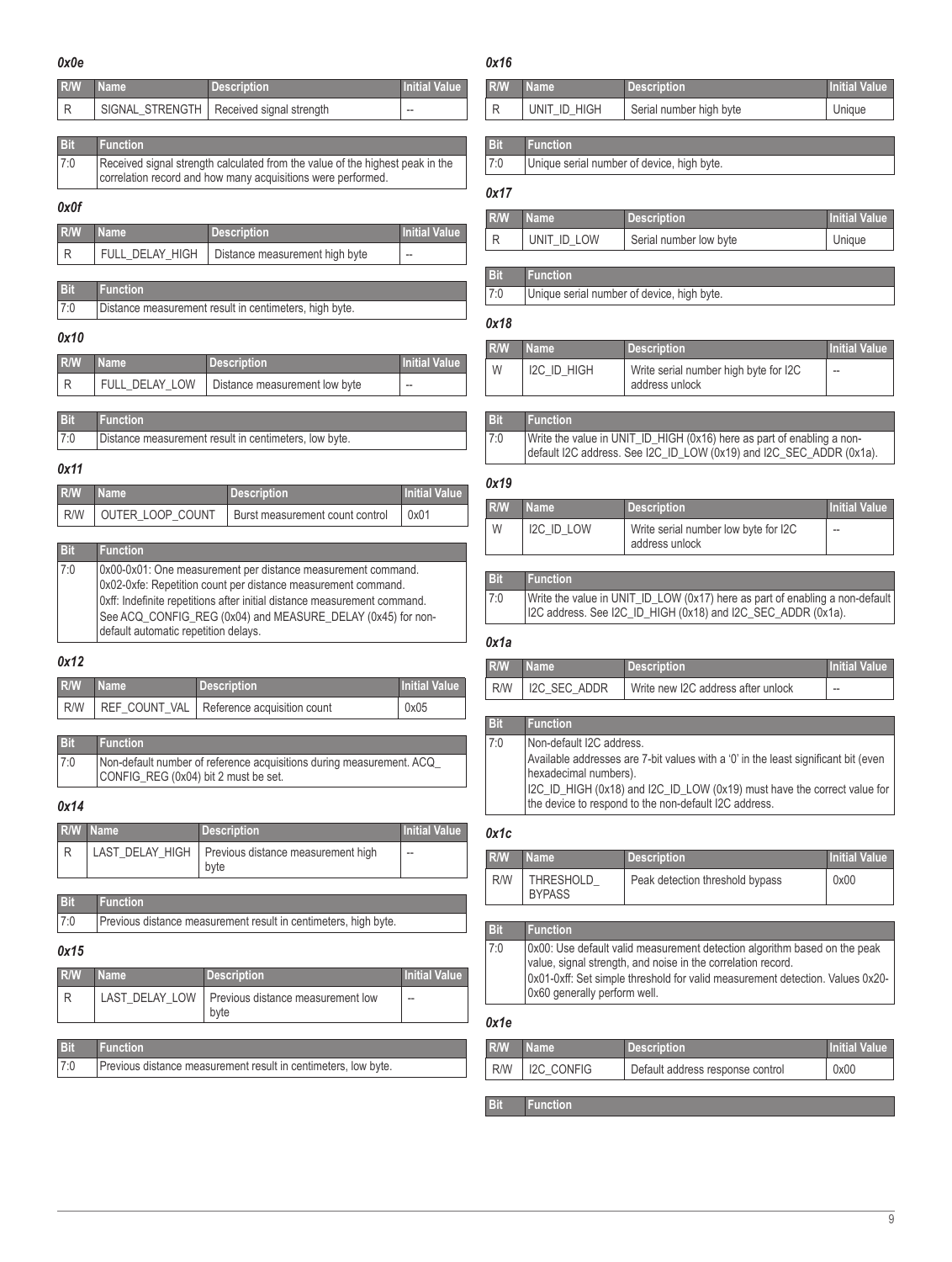#### <span id="page-8-0"></span>*0x0e*

## <span id="page-8-7"></span>*0x16*

| R/W        | <b>Name</b>                                                                                                                                   | <b>Description</b>       | <b>Initial Value</b> |
|------------|-----------------------------------------------------------------------------------------------------------------------------------------------|--------------------------|----------------------|
| R          | SIGNAL STRENGTH                                                                                                                               | Received signal strength | --                   |
|            |                                                                                                                                               |                          |                      |
| <b>Bit</b> | <b>Function</b>                                                                                                                               |                          |                      |
| 7:0        | Received signal strength calculated from the value of the highest peak in the<br>correlation record and how many acquisitions were performed. |                          |                      |
| 0x0f       |                                                                                                                                               |                          |                      |
| <b>R/W</b> | lame                                                                                                                                          | <b>Description</b>       | <b>Initial Value</b> |

<span id="page-8-1"></span>

| R/W | <b>Name</b> | <b>Description</b>                               | <b>Initial Value</b> |
|-----|-------------|--------------------------------------------------|----------------------|
|     |             | FULL_DELAY_HIGH   Distance measurement high byte | $- -$                |
|     |             |                                                  |                      |

| <b>Bit</b> | <b>Function</b>                                        |
|------------|--------------------------------------------------------|
| 7:0        | Distance measurement result in centimeters, high byte. |

### <span id="page-8-2"></span>*0x10*

| <b>R/W</b> | <b>Name</b> | <b>Description</b>                             | <b>Initial Value</b> |
|------------|-------------|------------------------------------------------|----------------------|
|            |             | FULL_DELAY_LOW   Distance measurement low byte | $- -$                |

| Bit | Function <sup>'</sup>                                 |
|-----|-------------------------------------------------------|
| 7:0 | Distance measurement result in centimeters, low byte. |

### <span id="page-8-3"></span>*0x11*

| R/W Name | Description                                                     | <b>Initial Value</b> |
|----------|-----------------------------------------------------------------|----------------------|
|          | R/W   OUTER_LOOP_COUNT   Burst measurement count control   0x01 |                      |

| <b>Bit</b> | <b>Function</b>                                                                                                                                                                                                                                                                                                  |
|------------|------------------------------------------------------------------------------------------------------------------------------------------------------------------------------------------------------------------------------------------------------------------------------------------------------------------|
| 7:0        | 0x00-0x01: One measurement per distance measurement command.<br>Ox02-Oxfe: Repetition count per distance measurement command.<br>Oxff: Indefinite repetitions after initial distance measurement command.<br>See ACQ_CONFIG_REG (0x04) and MEASURE_DELAY (0x45) for non-<br>default automatic repetition delays. |

### <span id="page-8-4"></span>*0x12*

| R/W | ' Name ' | <b>Description</b>                                | Initial Value |
|-----|----------|---------------------------------------------------|---------------|
|     |          | R/W   REF_COUNT_VAL   Reference acquisition count | 0x05          |

| <b>Bit</b> | <b>Function</b>                                                                                              |
|------------|--------------------------------------------------------------------------------------------------------------|
| 7:0        | Non-default number of reference acquisitions during measurement. ACQ<br>CONFIG_REG (0x04) bit 2 must be set. |

#### <span id="page-8-5"></span>*0x14*

|     | R/W Name | <b>Description</b>                                           | <b>Initial Value</b> |
|-----|----------|--------------------------------------------------------------|----------------------|
| l R |          | LAST_DELAY_HIGH   Previous distance measurement high<br>byte | --                   |

| <b>Bit</b> | $\blacksquare$ Function $\blacksquare$                          |
|------------|-----------------------------------------------------------------|
| 7:0        | Previous distance measurement result in centimeters, high byte. |

#### <span id="page-8-6"></span>*0x15*

| R/W        | <b>Name</b>     | Description                                                | <b>Initial Value</b> |
|------------|-----------------|------------------------------------------------------------|----------------------|
|            |                 | LAST DELAY LOW   Previous distance measurement low<br>byte | $- -$                |
|            |                 |                                                            |                      |
| <b>Bit</b> | <b>Function</b> |                                                            |                      |

| .   |                                                                |
|-----|----------------------------------------------------------------|
| 7:0 | Previous distance measurement result in centimeters, low byte. |

| R/W | <b>Name</b>     | <b>Description</b>      | Initial Value |
|-----|-----------------|-------------------------|---------------|
|     | UNIT ID HIGH    | Serial number high byte | Unique        |
|     |                 |                         |               |
| Bit | <b>Function</b> |                         |               |

## 7:0 Unique serial number of device, high byte.

### <span id="page-8-8"></span>*0x17*

| R/W | <b>Name</b> | <b>Description</b>     | <b>Initial Value</b> |
|-----|-------------|------------------------|----------------------|
| l R | UNIT ID LOW | Serial number low byte | Unique               |
|     |             |                        |                      |

#### **Bit Function** 7:0 Unique serial number of device, high byte.

### <span id="page-8-9"></span>*0x18*

| R/W | <b>Name</b> | <b>Description</b>                                      | <b>Initial Value</b> |
|-----|-------------|---------------------------------------------------------|----------------------|
| W   | I2C ID HIGH | Write serial number high byte for I2C<br>address unlock | --                   |

## **Bit Function**

| 7:0 | Write the value in UNIT_ID_HIGH (0x16) here as part of enabling a non-<br>default I2C address. See I2C_ID_LOW (0x19) and I2C_SEC_ADDR (0x1a). |
|-----|-----------------------------------------------------------------------------------------------------------------------------------------------|
|     |                                                                                                                                               |

## <span id="page-8-10"></span>*0x19*

| R/W            | <b>Name</b> | <b>Description</b>                                     | <b>Initial Value</b> |
|----------------|-------------|--------------------------------------------------------|----------------------|
| i W            | I2C ID LOW  | Write serial number low byte for I2C<br>address unlock |                      |
| <b>I</b> Fifth |             |                                                        |                      |

#### **Bit Function** 7:0 Write the value in UNIT\_ID\_LOW (0x17) here as part of enabling a non-default I2C address. See I2C\_ID\_HIGH (0x18) and I2C\_SEC\_ADDR (0x1a).

#### <span id="page-8-11"></span>*0x1a*

| R/W | l Name'            | <b>Description</b>                 | <b>Initial Value</b> |
|-----|--------------------|------------------------------------|----------------------|
|     | R/W   I2C SEC ADDR | Write new I2C address after unlock | $\sim$               |

#### **Bit Function** 7:0 Non-default I2C address. Available addresses are 7-bit values with a '0' in the least significant bit (even hexadecimal numbers). I2C\_ID\_HIGH (0x18) and I2C\_ID\_LOW (0x19) must have the correct value for the device to respond to the non-default I2C address.

#### <span id="page-8-12"></span>*0x1c*

| R/W | <b>Name</b>                | <b>Description</b>              | <b>Initial Value</b> |
|-----|----------------------------|---------------------------------|----------------------|
| R/W | THRESHOLD<br><b>BYPASS</b> | Peak detection threshold bypass | 0x00                 |

### **Bit Function** 7:0 0x00: Use default valid measurement detection algorithm based on the peak value, signal strength, and noise in the correlation record. 0x01-0xff: Set simple threshold for valid measurement detection. Values 0x20- 0x60 generally perform well.

## <span id="page-8-13"></span>*0x1e*

| R/W   | <b>TName</b>      | <b>Description</b>               | <b>Initial Value</b> |
|-------|-------------------|----------------------------------|----------------------|
| l R/W | <b>I2C CONFIG</b> | Default address response control | 0x00                 |

### **Bit Function**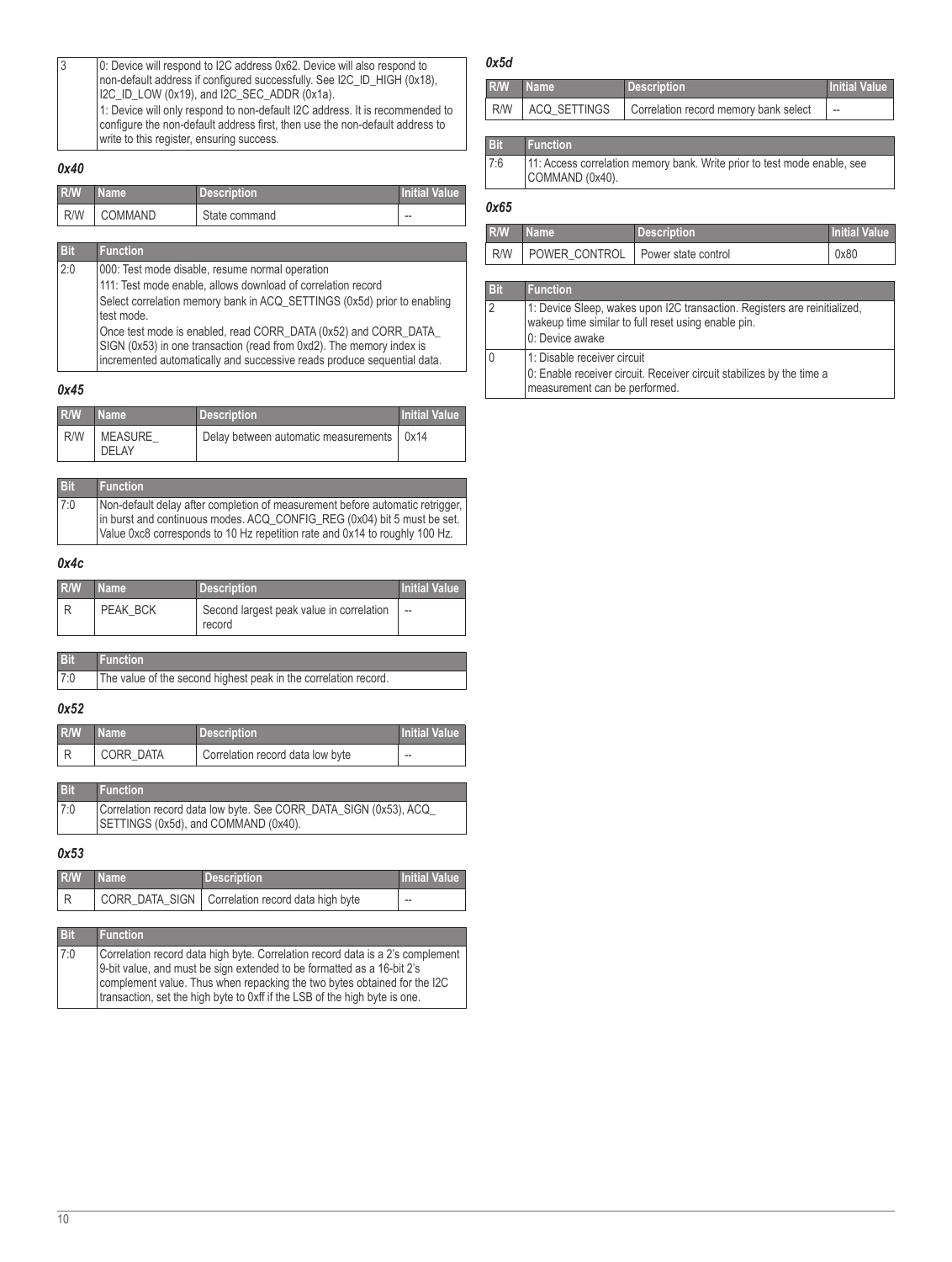| 3 | 0: Device will respond to I2C address 0x62. Device will also respond to<br>non-default address if configured successfully. See I2C ID HIGH (0x18),                                                        |
|---|-----------------------------------------------------------------------------------------------------------------------------------------------------------------------------------------------------------|
|   | I2C_ID_LOW (0x19), and I2C_SEC_ADDR (0x1a).                                                                                                                                                               |
|   | 1: Device will only respond to non-default I2C address. It is recommended to<br>configure the non-default address first, then use the non-default address to<br>write to this register, ensuring success. |

#### <span id="page-9-0"></span>*0x40*

| R/W | l Name '  | <b>Description</b> | <b>Initial Value</b> |
|-----|-----------|--------------------|----------------------|
| R/W | I COMMAND | State command      | $\sim$               |

| <b>Bit</b>                                                              | <b>Function</b>                                                                                                                                                                                                    |
|-------------------------------------------------------------------------|--------------------------------------------------------------------------------------------------------------------------------------------------------------------------------------------------------------------|
| 2:0                                                                     | 000: Test mode disable, resume normal operation                                                                                                                                                                    |
| 111: Test mode enable, allows download of correlation record            |                                                                                                                                                                                                                    |
| Select correlation memory bank in ACQ SETTINGS (0x5d) prior to enabling |                                                                                                                                                                                                                    |
| test mode.                                                              |                                                                                                                                                                                                                    |
|                                                                         | Once test mode is enabled, read CORR_DATA (0x52) and CORR_DATA_<br>SIGN (0x53) in one transaction (read from 0xd2). The memory index is<br>incremented automatically and successive reads produce sequential data. |

#### <span id="page-9-1"></span>*0x45*

| R/W | <b>Name</b>             | <b>Description</b>                          | <b>Initial Value</b> |
|-----|-------------------------|---------------------------------------------|----------------------|
| R/W | MEASURE<br><b>DELAY</b> | Delay between automatic measurements   0x14 |                      |

| <b>Bit</b> | <b>Function</b>                                                               |
|------------|-------------------------------------------------------------------------------|
| 7:0        | Non-default delay after completion of measurement before automatic retrigger, |
|            | in burst and continuous modes. ACQ_CONFIG_REG (0x04) bit 5 must be set.       |
|            | Value 0xc8 corresponds to 10 Hz repetition rate and 0x14 to roughly 100 Hz.   |

#### <span id="page-9-2"></span>*0x4c*

| R/W | Mame \   | <b>Description</b>                                 | <b>Initial Value</b> |
|-----|----------|----------------------------------------------------|----------------------|
|     | PEAK BCK | Second largest peak value in correlation<br>record | --                   |

| Bit | Function                                                        |  |
|-----|-----------------------------------------------------------------|--|
| 7:0 | The value of the second highest peak in the correlation record. |  |

#### <span id="page-9-3"></span>*0x52*

| R/W | <b>Name</b> | <b>Description</b>               | Initial Value |
|-----|-------------|----------------------------------|---------------|
|     | CORR DATA   | Correlation record data low byte | $- -$         |

| <b>Bit</b> | <b>Function</b>                                                                                           |
|------------|-----------------------------------------------------------------------------------------------------------|
| 7:0        | Correlation record data low byte. See CORR_DATA_SIGN (0x53), ACQ_<br>SETTINGS (0x5d), and COMMAND (0x40). |

#### <span id="page-9-4"></span>*0x53*

| <b>R/W</b> | <b>Name</b> | <b>Description</b>                                 | <b>Initial Value</b> |
|------------|-------------|----------------------------------------------------|----------------------|
|            |             | CORR_DATA_SIGN   Correlation record data high byte | $-$                  |

**Bit Function** 7:0 Correlation record data high byte. Correlation record data is a 2's complement 9-bit value, and must be sign extended to be formatted as a 16-bit 2's complement value. Thus when repacking the two bytes obtained for the I2C transaction, set the high byte to 0xff if the LSB of the high byte is one.

### <span id="page-9-5"></span>*0x5d*

| R/W           | <b>Name</b>  | <b>Description</b>                    | <b>Initial Value</b>     |
|---------------|--------------|---------------------------------------|--------------------------|
| R/W           | ACQ SETTINGS | Correlation record memory bank select | $\overline{\phantom{a}}$ |
|               |              |                                       |                          |
| <b>Tallet</b> |              |                                       |                          |

### **Bit Function**

| 7:6 | 11: Access correlation memory bank. Write prior to test mode enable, see |
|-----|--------------------------------------------------------------------------|
|     | COMMAND (0x40).                                                          |

### <span id="page-9-6"></span>*0x65*

| R/W | Name                                      | Description | <b>Initial Value</b> |
|-----|-------------------------------------------|-------------|----------------------|
|     | R/W   POWER CONTROL   Power state control |             | 0x80                 |

#### **Bit Function**

| 2 | 1: Device Sleep, wakes upon I2C transaction. Registers are reinitialized,<br>wakeup time similar to full reset using enable pin.<br>0: Device awake |
|---|-----------------------------------------------------------------------------------------------------------------------------------------------------|
| 0 | 1: Disable receiver circuit<br>0: Enable receiver circuit. Receiver circuit stabilizes by the time a<br>measurement can be performed.               |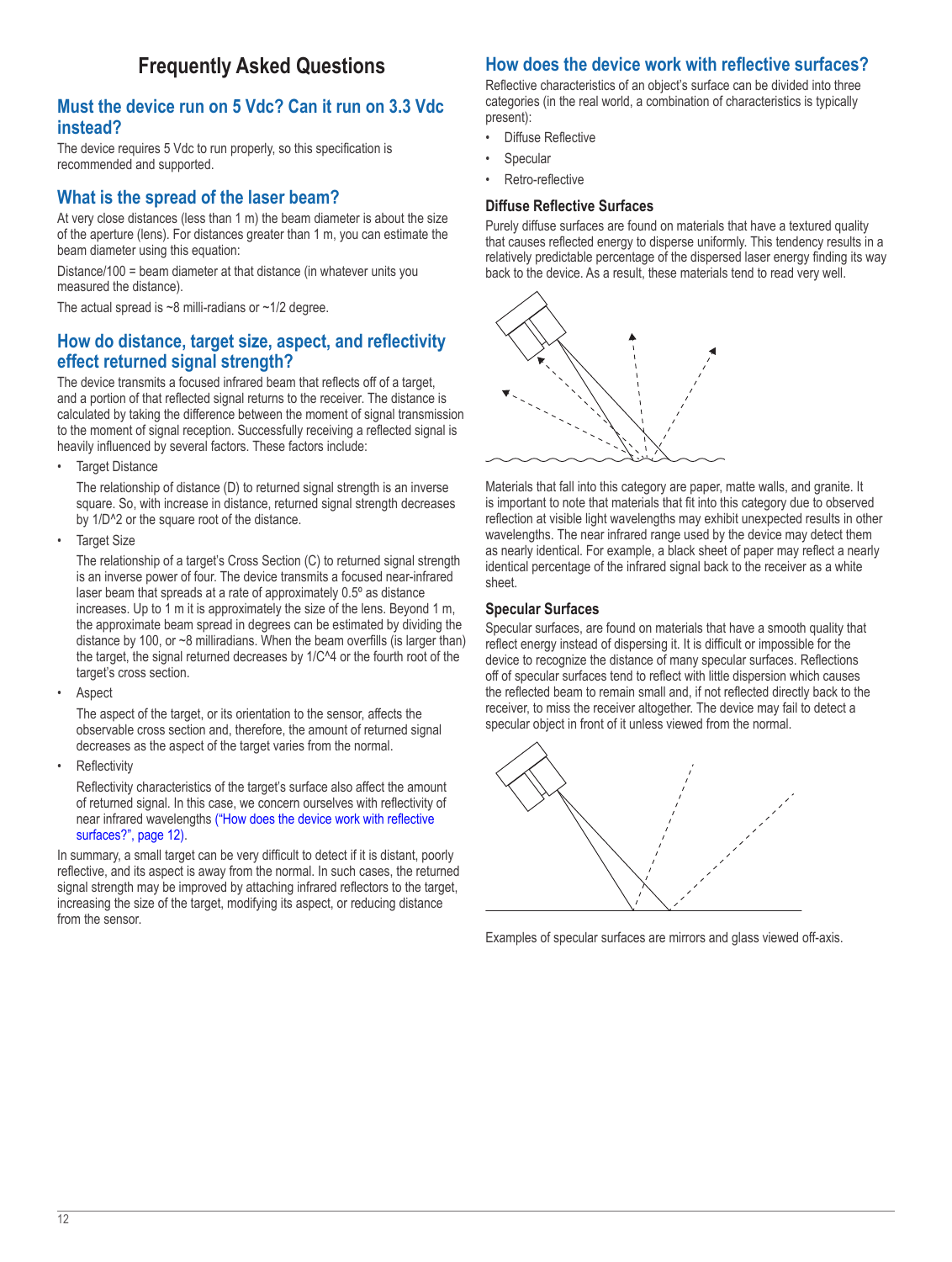# **Frequently Asked Questions**

### <span id="page-11-0"></span>**Must the device run on 5 Vdc? Can it run on 3.3 Vdc instead?**

The device requires 5 Vdc to run properly, so this specification is recommended and supported.

## **What is the spread of the laser beam?**

At very close distances (less than 1 m) the beam diameter is about the size of the aperture (lens). For distances greater than 1 m, you can estimate the beam diameter using this equation:

Distance/100 = beam diameter at that distance (in whatever units you measured the distance).

The actual spread is  $~8$  milli-radians or  $~1/2$  degree.

## **How do distance, target size, aspect, and reflectivity effect returned signal strength?**

The device transmits a focused infrared beam that reflects off of a target, and a portion of that reflected signal returns to the receiver. The distance is calculated by taking the difference between the moment of signal transmission to the moment of signal reception. Successfully receiving a reflected signal is heavily influenced by several factors. These factors include:

**Target Distance** 

The relationship of distance (D) to returned signal strength is an inverse square. So, with increase in distance, returned signal strength decreases by 1/D^2 or the square root of the distance.

• Target Size

The relationship of a target's Cross Section (C) to returned signal strength is an inverse power of four. The device transmits a focused near-infrared laser beam that spreads at a rate of approximately 0.5º as distance increases. Up to 1 m it is approximately the size of the lens. Beyond 1 m, the approximate beam spread in degrees can be estimated by dividing the distance by 100, or ~8 milliradians. When the beam overfills (is larger than) the target, the signal returned decreases by 1/C^4 or the fourth root of the target's cross section.

**Aspect** 

The aspect of the target, or its orientation to the sensor, affects the observable cross section and, therefore, the amount of returned signal decreases as the aspect of the target varies from the normal.

**Reflectivity** 

Reflectivity characteristics of the target's surface also affect the amount of returned signal. In this case, we concern ourselves with reflectivity of near infrared wavelengths [\("How does the device work with reflective](#page-11-1)  [surfaces?", page](#page-11-1) 12).

In summary, a small target can be very difficult to detect if it is distant, poorly reflective, and its aspect is away from the normal. In such cases, the returned signal strength may be improved by attaching infrared reflectors to the target, increasing the size of the target, modifying its aspect, or reducing distance from the sensor.

## <span id="page-11-1"></span>**How does the device work with reflective surfaces?**

Reflective characteristics of an object's surface can be divided into three categories (in the real world, a combination of characteristics is typically present):

- Diffuse Reflective
- **Specular**
- Retro-reflective

### **Diffuse Reflective Surfaces**

Purely diffuse surfaces are found on materials that have a textured quality that causes reflected energy to disperse uniformly. This tendency results in a relatively predictable percentage of the dispersed laser energy finding its way back to the device. As a result, these materials tend to read very well.



Materials that fall into this category are paper, matte walls, and granite. It is important to note that materials that fit into this category due to observed reflection at visible light wavelengths may exhibit unexpected results in other wavelengths. The near infrared range used by the device may detect them as nearly identical. For example, a black sheet of paper may reflect a nearly identical percentage of the infrared signal back to the receiver as a white sheet.

### **Specular Surfaces**

Specular surfaces, are found on materials that have a smooth quality that reflect energy instead of dispersing it. It is difficult or impossible for the device to recognize the distance of many specular surfaces. Reflections off of specular surfaces tend to reflect with little dispersion which causes the reflected beam to remain small and, if not reflected directly back to the receiver, to miss the receiver altogether. The device may fail to detect a specular object in front of it unless viewed from the normal.



Examples of specular surfaces are mirrors and glass viewed off-axis.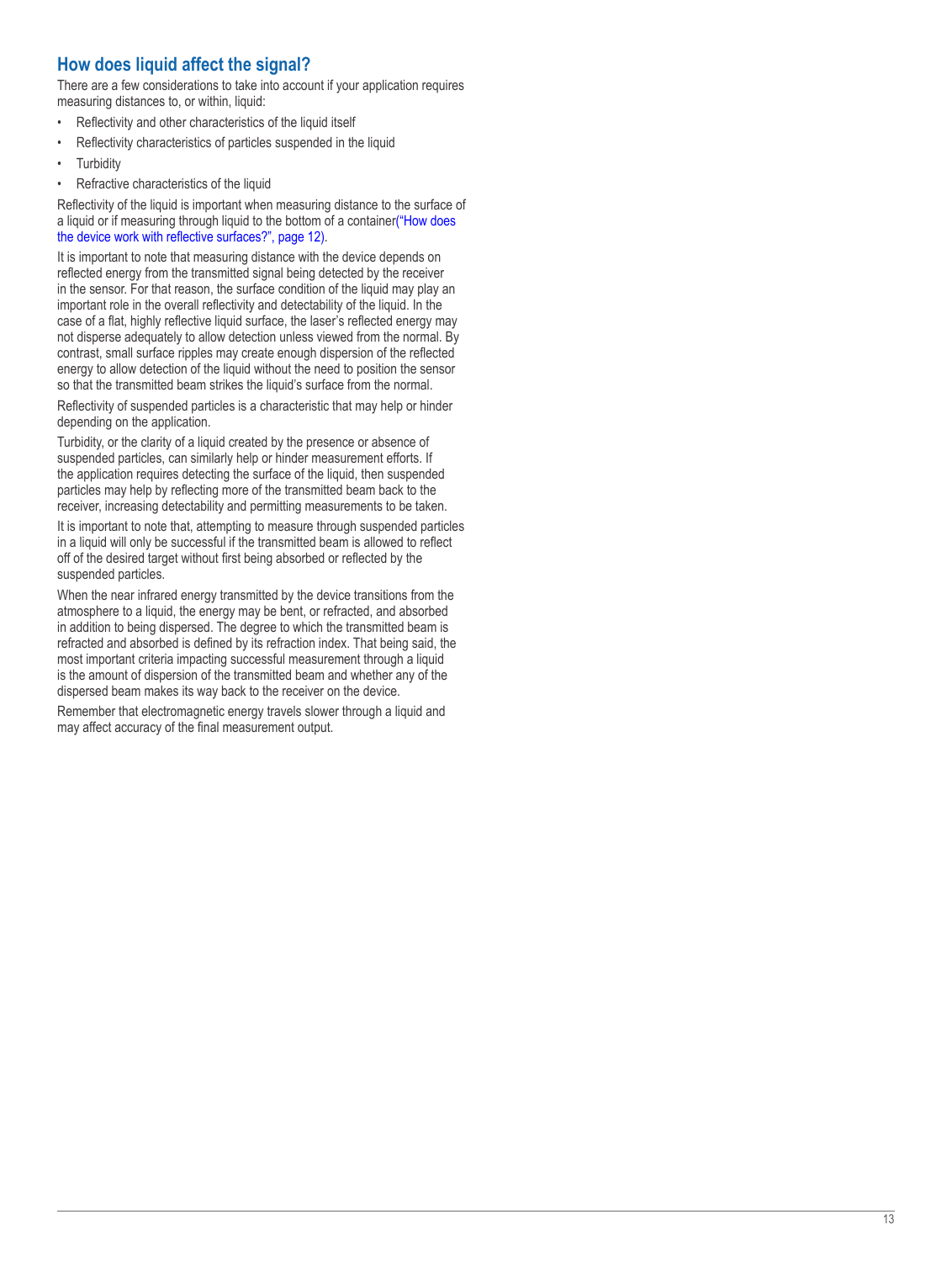## <span id="page-12-0"></span>**How does liquid affect the signal?**

There are a few considerations to take into account if your application requires measuring distances to, or within, liquid:

- Reflectivity and other characteristics of the liquid itself
- Reflectivity characteristics of particles suspended in the liquid
- **Turbidity**
- Refractive characteristics of the liquid

Reflectivity of the liquid is important when measuring distance to the surface of a liquid or if measuring through liquid to the bottom of a container("How does [the device work with reflective surfaces?", page](#page-11-1) 12).

It is important to note that measuring distance with the device depends on reflected energy from the transmitted signal being detected by the receiver in the sensor. For that reason, the surface condition of the liquid may play an important role in the overall reflectivity and detectability of the liquid. In the case of a flat, highly reflective liquid surface, the laser's reflected energy may not disperse adequately to allow detection unless viewed from the normal. By contrast, small surface ripples may create enough dispersion of the reflected energy to allow detection of the liquid without the need to position the sensor so that the transmitted beam strikes the liquid's surface from the normal.

Reflectivity of suspended particles is a characteristic that may help or hinder depending on the application.

Turbidity, or the clarity of a liquid created by the presence or absence of suspended particles, can similarly help or hinder measurement efforts. If the application requires detecting the surface of the liquid, then suspended particles may help by reflecting more of the transmitted beam back to the receiver, increasing detectability and permitting measurements to be taken.

It is important to note that, attempting to measure through suspended particles in a liquid will only be successful if the transmitted beam is allowed to reflect off of the desired target without first being absorbed or reflected by the suspended particles.

When the near infrared energy transmitted by the device transitions from the atmosphere to a liquid, the energy may be bent, or refracted, and absorbed in addition to being dispersed. The degree to which the transmitted beam is refracted and absorbed is defined by its refraction index. That being said, the most important criteria impacting successful measurement through a liquid is the amount of dispersion of the transmitted beam and whether any of the dispersed beam makes its way back to the receiver on the device.

Remember that electromagnetic energy travels slower through a liquid and may affect accuracy of the final measurement output.